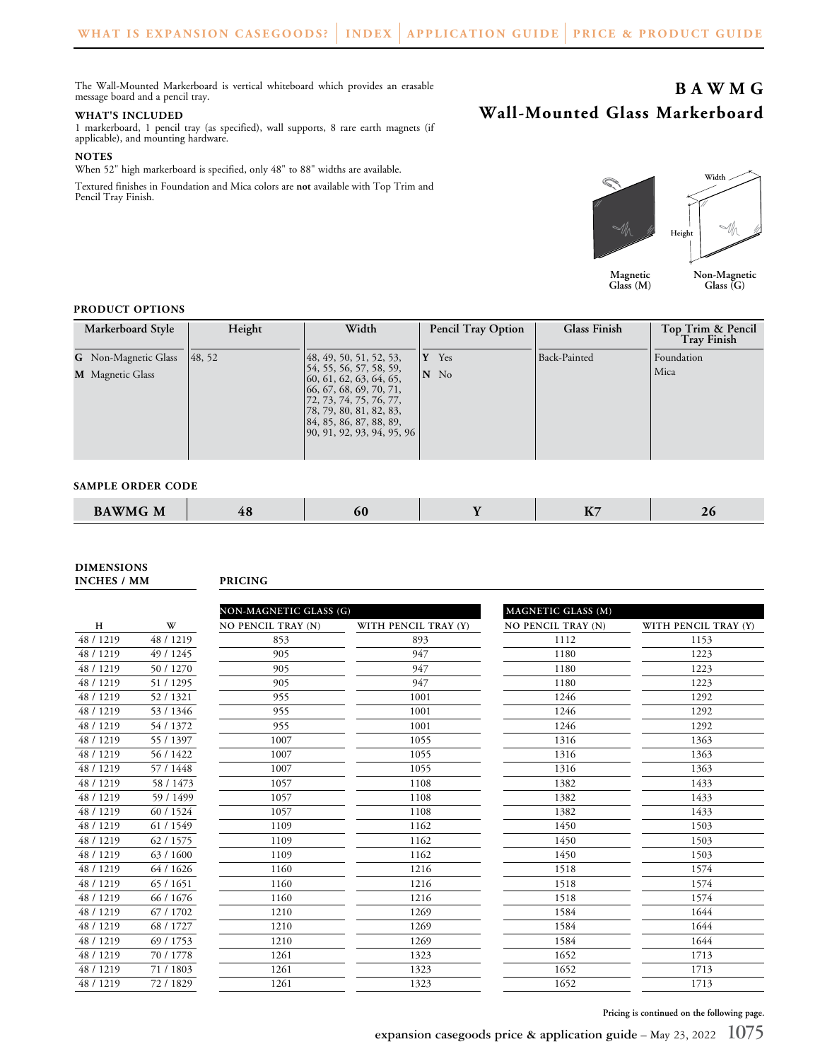The Wall-Mounted Markerboard is vertical whiteboard which provides an erasable message board and a pencil tray.

#### **WHAT'S INCLUDED**

1 markerboard, 1 pencil tray (as specified), wall supports, 8 rare earth magnets (if applicable), and mounting hardware.

### **NOTES**

When 52" high markerboard is specified, only 48" to 88" widths are available.

Textured finishes in Foundation and Mica colors are **not** available with Top Trim and Pencil Tray Finish.



**Magnetic Glass (M)**

**Wall-Mounted Glass Markerboard**

**Non-Magnetic Glass (G)**

**BAWMG**

## **PRODUCT OPTIONS**

| Markerboard Style           | Height | Width                                                                                                                                                                                         | <b>Pencil Tray Option</b> | <b>Glass Finish</b> | Top Trim & Pencil<br><b>Tray Finish</b> |
|-----------------------------|--------|-----------------------------------------------------------------------------------------------------------------------------------------------------------------------------------------------|---------------------------|---------------------|-----------------------------------------|
| <b>G</b> Non-Magnetic Glass | 48, 52 | $\left[48, 49, 50, 51, 52, 53, \right]$                                                                                                                                                       | Yes<br>Y                  | Back-Painted        | Foundation                              |
| <b>M</b> Magnetic Glass     |        | 54, 55, 56, 57, 58, 59,<br>60, 61, 62, 63, 64, 65,<br>66, 67, 68, 69, 70, 71,<br>172, 73, 74, 75, 76, 77,<br>78, 79, 80, 81, 82, 83,<br>84, 85, 86, 87, 88, 89,<br>90, 91, 92, 93, 94, 95, 96 | N No                      |                     | Mica                                    |

#### **SAMPLE ORDER CODE**

| <b>BAWMG M</b> | IV | ou | $\overline{\phantom{a}}$ | ∠∪ |
|----------------|----|----|--------------------------|----|
|                |    |    |                          |    |

**DIMENSIONS**

**INCHES / MM PRICING**

|           |           | NON-MAGNETIC GLASS (G) |                      | <b>MAGNETIC GLASS (M)</b> |                      |  |
|-----------|-----------|------------------------|----------------------|---------------------------|----------------------|--|
| H         | W         | NO PENCIL TRAY (N)     | WITH PENCIL TRAY (Y) | <b>NO PENCIL TRAY (N)</b> | WITH PENCIL TRAY (Y) |  |
| 48 / 1219 | 48 / 1219 | 853                    | 893                  | 1112                      | 1153                 |  |
| 48 / 1219 | 49 / 1245 | 905                    | 947                  | 1180                      | 1223                 |  |
| 48 / 1219 | 50 / 1270 | 905                    | 947                  | 1180                      | 1223                 |  |
| 48 / 1219 | 51 / 1295 | 905                    | 947                  | 1180                      | 1223                 |  |
| 48 / 1219 | 52/1321   | 955                    | 1001                 | 1246                      | 1292                 |  |
| 48 / 1219 | 53 / 1346 | 955                    | 1001                 | 1246                      | 1292                 |  |
| 48 / 1219 | 54 / 1372 | 955                    | 1001                 | 1246                      | 1292                 |  |
| 48 / 1219 | 55 / 1397 | 1007                   | 1055                 | 1316                      | 1363                 |  |
| 48 / 1219 | 56 / 1422 | 1007                   | 1055                 | 1316                      | 1363                 |  |
| 48 / 1219 | 57 / 1448 | 1007                   | 1055                 | 1316                      | 1363                 |  |
| 48 / 1219 | 58 / 1473 | 1057                   | 1108                 | 1382                      | 1433                 |  |
| 48 / 1219 | 59 / 1499 | 1057                   | 1108                 | 1382                      | 1433                 |  |
| 48 / 1219 | 60 / 1524 | 1057                   | 1108                 | 1382                      | 1433                 |  |
| 48 / 1219 | 61 / 1549 | 1109                   | 1162                 | 1450                      | 1503                 |  |
| 48 / 1219 | 62 / 1575 | 1109                   | 1162                 | 1450                      | 1503                 |  |
| 48 / 1219 | 63/1600   | 1109                   | 1162                 | 1450                      | 1503                 |  |
| 48/1219   | 64 / 1626 | 1160                   | 1216                 | 1518                      | 1574                 |  |
| 48 / 1219 | 65 / 1651 | 1160                   | 1216                 | 1518                      | 1574                 |  |
| 48 / 1219 | 66 / 1676 | 1160                   | 1216                 | 1518                      | 1574                 |  |
| 48 / 1219 | 67 / 1702 | 1210                   | 1269                 | 1584                      | 1644                 |  |
| 48 / 1219 | 68 / 1727 | 1210                   | 1269                 | 1584                      | 1644                 |  |
| 48 / 1219 | 69 / 1753 | 1210                   | 1269                 | 1584                      | 1644                 |  |
| 48 / 1219 | 70 / 1778 | 1261                   | 1323                 | 1652                      | 1713                 |  |
| 48 / 1219 | 71/1803   | 1261                   | 1323                 | 1652                      | 1713                 |  |
| 48 / 1219 | 72 / 1829 | 1261                   | 1323                 | 1652                      | 1713                 |  |

**Pricing is continued on the following page.**

**expansion casegoods price & application guide** – May 23, 2022 **1075**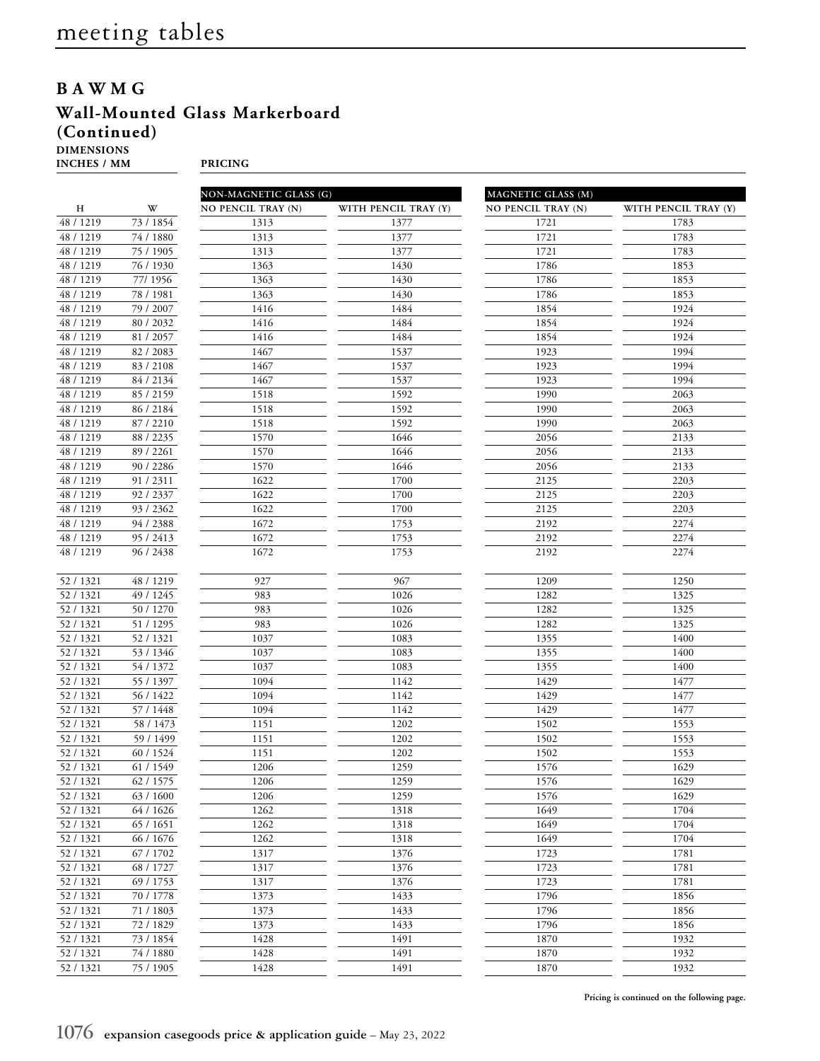## **BAWMG**

## **Wall-Mounted Glass Markerboard (Continued)**

**DIMENSIONS**

**INCHES / MM PRICING**

|                        |                        | NON-MAGNETIC GLASS (G) |                      | MAGNETIC GLASS (M)        |                      |  |
|------------------------|------------------------|------------------------|----------------------|---------------------------|----------------------|--|
| H                      | W                      | NO PENCIL TRAY (N)     | WITH PENCIL TRAY (Y) | <b>NO PENCIL TRAY (N)</b> | WITH PENCIL TRAY (Y) |  |
| 48 / 1219              | 73 / 1854              | 1313                   | 1377                 | 1721                      | 1783                 |  |
| 48 / 1219              | 74 / 1880              | 1313                   | 1377                 | 1721                      | 1783                 |  |
| 48 / 1219              | 75 / 1905              | 1313                   | 1377                 | 1721                      | 1783                 |  |
| 48 / 1219              | 76 / 1930              | 1363                   | 1430                 | 1786                      | 1853                 |  |
| 48 / 1219              | 77/1956                | 1363                   | 1430                 | 1786                      | 1853                 |  |
| 48 / 1219              | 78 / 1981              | 1363                   | 1430                 | 1786                      | 1853                 |  |
| 48 / 1219              | 79 / 2007              | 1416                   | 1484                 | 1854                      | 1924                 |  |
| 48 / 1219              | 80 / 2032              | 1416                   | 1484                 | 1854                      | 1924                 |  |
| 48 / 1219              | 81 / 2057              | 1416                   | 1484                 | 1854                      | 1924                 |  |
| 48 / 1219              | 82 / 2083              | 1467                   | 1537                 | 1923                      | 1994                 |  |
| 48 / 1219              | 83 / 2108              | 1467                   | 1537                 | 1923                      | 1994                 |  |
| 48 / 1219              | 84 / 2134              | 1467                   | 1537                 | 1923                      | 1994                 |  |
| 48 / 1219              | 85 / 2159              | 1518                   | 1592                 | 1990                      | 2063                 |  |
| 48 / 1219              | 86 / 2184              | 1518                   | 1592                 | 1990                      | 2063                 |  |
| 48 / 1219              | 87 / 2210              | 1518                   | 1592                 | 1990                      | 2063                 |  |
| 48 / 1219              | 88 / 2235              | 1570                   | 1646                 | 2056                      | 2133                 |  |
| 48 / 1219              | 89 / 2261              | 1570                   | 1646                 | 2056                      | 2133                 |  |
| 48 / 1219              | 90 / 2286              | 1570                   | 1646                 | 2056                      | 2133                 |  |
| 48 / 1219              | 91 / 2311              | 1622                   | 1700                 | 2125                      | 2203                 |  |
| 48 / 1219              | 92 / 2337              | 1622                   | 1700                 | 2125                      | 2203                 |  |
| 48 / 1219              | 93 / 2362              | 1622                   | 1700                 | 2125                      | 2203                 |  |
| 48 / 1219              | 94 / 2388              | 1672                   | 1753                 | 2192                      | 2274                 |  |
| 48 / 1219              | 95 / 2413              | 1672                   | 1753                 | 2192                      | 2274                 |  |
| 48 / 1219              | 96 / 2438              | 1672                   | 1753                 | 2192                      | 2274                 |  |
|                        |                        |                        |                      |                           |                      |  |
| 52 / 1321              | 48 / 1219              | 927                    | 967                  | 1209                      | 1250                 |  |
| 52 / 1321              | 49 / 1245              | 983                    | 1026                 | 1282                      | 1325                 |  |
| 52 / 1321              | 50 / 1270              | 983                    | 1026                 | 1282                      | 1325                 |  |
| 52 / 1321              | 51 / 1295              | 983                    | 1026                 | 1282                      | 1325                 |  |
| 52 / 1321<br>52 / 1321 | 52 / 1321<br>53 / 1346 | 1037<br>1037           | 1083<br>1083         | 1355<br>1355              | 1400<br>1400         |  |
| 52 / 1321              |                        |                        | 1083                 |                           | 1400                 |  |
| 52 / 1321              | 54 / 1372<br>55 / 1397 | 1037<br>1094           | 1142                 | 1355<br>1429              | 1477                 |  |
| 52 / 1321              | 56 / 1422              | 1094                   | 1142                 | 1429                      | 1477                 |  |
| 52 / 1321              | 57 / 1448              | 1094                   | 1142                 | 1429                      | 1477                 |  |
| 52 / 1321              | 58 / 1473              | 1151                   | 1202                 | 1502                      | 1553                 |  |
| 52 / 1321              | 59 / 1499              | 1151                   | 1202                 | 1502                      | 1553                 |  |
| 52 / 1321              | 60 / 1524              | 1151                   | 1202                 | 1502                      | 1553                 |  |
| 52 / 1321              | 61 / 1549              | 1206                   | 1259                 | 1576                      | 1629                 |  |
| 52/1321                | 62 / 1575              | 1206                   | 1259                 | 1576                      | 1629                 |  |
| 52/1321                | 63 / 1600              | 1206                   | 1259                 | 1576                      | 1629                 |  |
| 52 / 1321              | 64 / 1626              | 1262                   | 1318                 | 1649                      | 1704                 |  |
| 52 / 1321              | 65 / 1651              | 1262                   | 1318                 | 1649                      | 1704                 |  |
| 52 / 1321              | 66 / 1676              | 1262                   | 1318                 | 1649                      | 1704                 |  |
| 52 / 1321              | 67 / 1702              | 1317                   | 1376                 | 1723                      | 1781                 |  |
| 52 / 1321              | 68 / 1727              | 1317                   | 1376                 | 1723                      | 1781                 |  |
| 52 / 1321              | 69 / 1753              | 1317                   | 1376                 | 1723                      | 1781                 |  |
| 52 / 1321              | 70 / 1778              | 1373                   | 1433                 | 1796                      | 1856                 |  |
| 52 / 1321              | 71 / 1803              | 1373                   | 1433                 | 1796                      | 1856                 |  |
| 52/1321                | 72 / 1829              | 1373                   | 1433                 | 1796                      | 1856                 |  |
| 52 / 1321              | 73 / 1854              | 1428                   | 1491                 | 1870                      | 1932                 |  |
| 52 / 1321              | 74 / 1880              | 1428                   | 1491                 | 1870                      | 1932                 |  |
| 52 / 1321              | 75 / 1905              | 1428                   | 1491                 | 1870                      | 1932                 |  |
|                        |                        |                        |                      |                           |                      |  |

**Pricing is continued on the following page.**